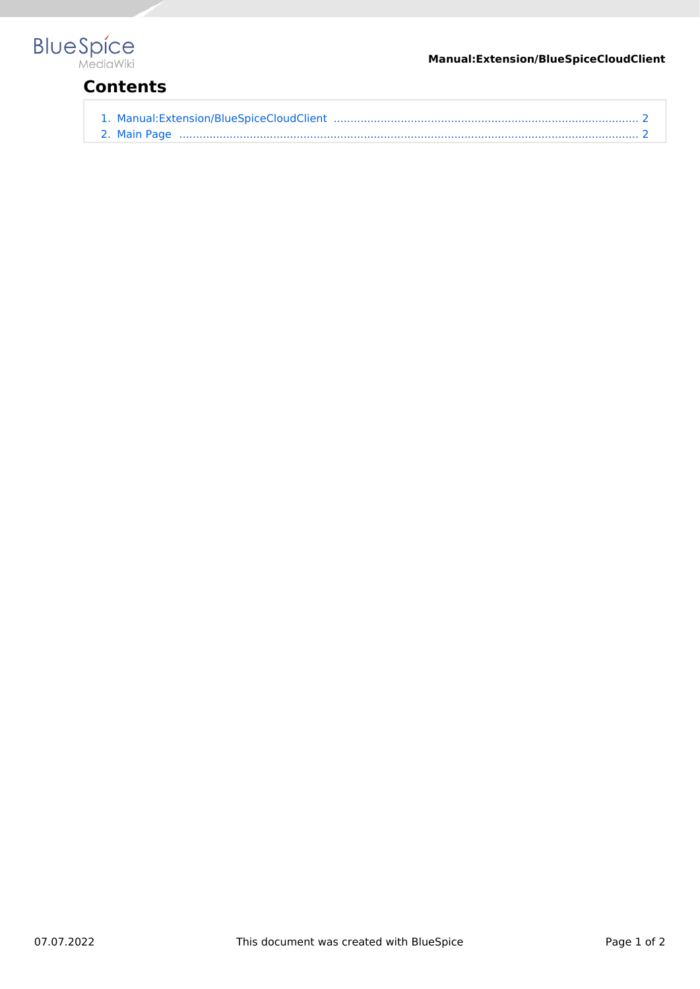

## **Contents**